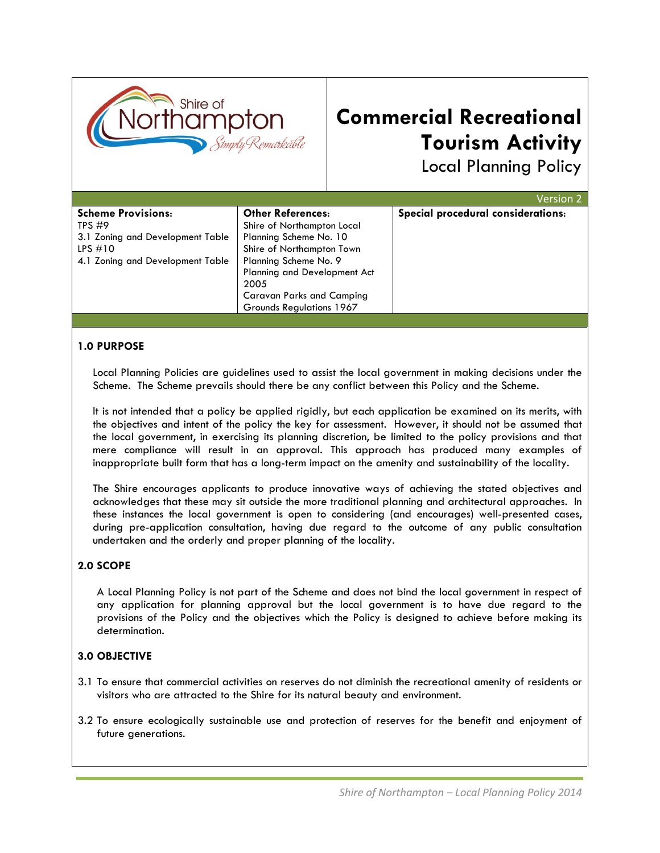

# **Commercial Recreational Tourism Activity**

Local Planning Policy

|                                  |                                     | Version 2                          |
|----------------------------------|-------------------------------------|------------------------------------|
| <b>Scheme Provisions:</b>        | <b>Other References:</b>            | Special procedural considerations: |
| TPS $#9$                         | Shire of Northampton Local          |                                    |
| 3.1 Zoning and Development Table | Planning Scheme No. 10              |                                    |
| LPS $#10$                        | Shire of Northampton Town           |                                    |
| 4.1 Zoning and Development Table | Planning Scheme No. 9               |                                    |
|                                  | <b>Planning and Development Act</b> |                                    |
|                                  | 2005                                |                                    |
|                                  | <b>Caravan Parks and Camping</b>    |                                    |
|                                  | Grounds Regulations 1967            |                                    |

#### **1.0 PURPOSE**

Local Planning Policies are guidelines used to assist the local government in making decisions under the Scheme. The Scheme prevails should there be any conflict between this Policy and the Scheme.

It is not intended that a policy be applied rigidly, but each application be examined on its merits, with the objectives and intent of the policy the key for assessment. However, it should not be assumed that the local government, in exercising its planning discretion, be limited to the policy provisions and that mere compliance will result in an approval. This approach has produced many examples of inappropriate built form that has a long-term impact on the amenity and sustainability of the locality.

The Shire encourages applicants to produce innovative ways of achieving the stated objectives and acknowledges that these may sit outside the more traditional planning and architectural approaches. In these instances the local government is open to considering (and encourages) well-presented cases, during pre-application consultation, having due regard to the outcome of any public consultation undertaken and the orderly and proper planning of the locality.

#### **2.0 SCOPE**

A Local Planning Policy is not part of the Scheme and does not bind the local government in respect of any application for planning approval but the local government is to have due regard to the provisions of the Policy and the objectives which the Policy is designed to achieve before making its determination.

#### **3.0 OBJECTIVE**

- 3.1 To ensure that commercial activities on reserves do not diminish the recreational amenity of residents or visitors who are attracted to the Shire for its natural beauty and environment.
- 3.2 To ensure ecologically sustainable use and protection of reserves for the benefit and enjoyment of future generations.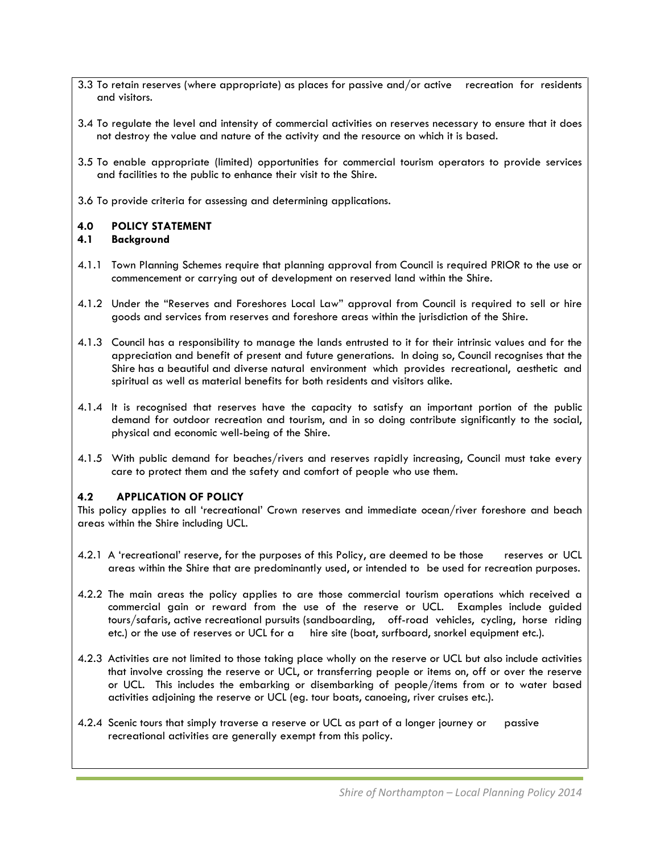- 3.3 To retain reserves (where appropriate) as places for passive and/or active recreation for residents and visitors.
- 3.4 To regulate the level and intensity of commercial activities on reserves necessary to ensure that it does not destroy the value and nature of the activity and the resource on which it is based.
- 3.5 To enable appropriate (limited) opportunities for commercial tourism operators to provide services and facilities to the public to enhance their visit to the Shire.
- 3.6 To provide criteria for assessing and determining applications.

#### **4.0 POLICY STATEMENT**

#### **4.1 Background**

- 4.1.1 Town Planning Schemes require that planning approval from Council is required PRIOR to the use or commencement or carrying out of development on reserved land within the Shire.
- 4.1.2 Under the "Reserves and Foreshores Local Law" approval from Council is required to sell or hire goods and services from reserves and foreshore areas within the jurisdiction of the Shire.
- 4.1.3 Council has a responsibility to manage the lands entrusted to it for their intrinsic values and for the appreciation and benefit of present and future generations. In doing so, Council recognises that the Shire has a beautiful and diverse natural environment which provides recreational, aesthetic and spiritual as well as material benefits for both residents and visitors alike.
- 4.1.4 It is recognised that reserves have the capacity to satisfy an important portion of the public demand for outdoor recreation and tourism, and in so doing contribute significantly to the social, physical and economic well-being of the Shire.
- 4.1.5 With public demand for beaches/rivers and reserves rapidly increasing, Council must take every care to protect them and the safety and comfort of people who use them.

#### **4.2 APPLICATION OF POLICY**

This policy applies to all 'recreational' Crown reserves and immediate ocean/river foreshore and beach areas within the Shire including UCL.

- 4.2.1 A 'recreational' reserve, for the purposes of this Policy, are deemed to be those reserves or UCL areas within the Shire that are predominantly used, or intended to be used for recreation purposes.
- 4.2.2 The main areas the policy applies to are those commercial tourism operations which received a commercial gain or reward from the use of the reserve or UCL. Examples include guided tours/safaris, active recreational pursuits (sandboarding, off-road vehicles, cycling, horse riding etc.) or the use of reserves or UCL for a hire site (boat, surfboard, snorkel equipment etc.).
- 4.2.3 Activities are not limited to those taking place wholly on the reserve or UCL but also include activities that involve crossing the reserve or UCL, or transferring people or items on, off or over the reserve or UCL. This includes the embarking or disembarking of people/items from or to water based activities adjoining the reserve or UCL (eg. tour boats, canoeing, river cruises etc.).
- 4.2.4 Scenic tours that simply traverse a reserve or UCL as part of a longer journey or passive recreational activities are generally exempt from this policy.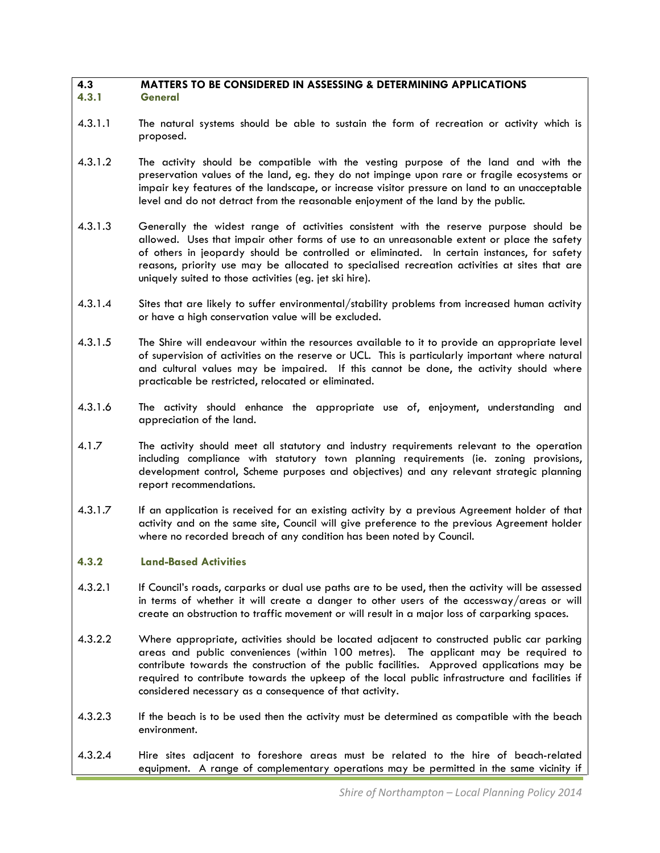#### **4.3 MATTERS TO BE CONSIDERED IN ASSESSING & DETERMINING APPLICATIONS 4.3.1 General**

- 4.3.1.1 The natural systems should be able to sustain the form of recreation or activity which is proposed.
- 4.3.1.2 The activity should be compatible with the vesting purpose of the land and with the preservation values of the land, eg. they do not impinge upon rare or fragile ecosystems or impair key features of the landscape, or increase visitor pressure on land to an unacceptable level and do not detract from the reasonable enjoyment of the land by the public.
- 4.3.1.3 Generally the widest range of activities consistent with the reserve purpose should be allowed. Uses that impair other forms of use to an unreasonable extent or place the safety of others in jeopardy should be controlled or eliminated. In certain instances, for safety reasons, priority use may be allocated to specialised recreation activities at sites that are uniquely suited to those activities (eg. jet ski hire).
- 4.3.1.4 Sites that are likely to suffer environmental/stability problems from increased human activity or have a high conservation value will be excluded.
- 4.3.1.5 The Shire will endeavour within the resources available to it to provide an appropriate level of supervision of activities on the reserve or UCL. This is particularly important where natural and cultural values may be impaired. If this cannot be done, the activity should where practicable be restricted, relocated or eliminated.
- 4.3.1.6 The activity should enhance the appropriate use of, enjoyment, understanding and appreciation of the land.
- 4.1.7 The activity should meet all statutory and industry requirements relevant to the operation including compliance with statutory town planning requirements (ie. zoning provisions, development control, Scheme purposes and objectives) and any relevant strategic planning report recommendations.
- 4.3.1.7 If an application is received for an existing activity by a previous Agreement holder of that activity and on the same site, Council will give preference to the previous Agreement holder where no recorded breach of any condition has been noted by Council.

#### **4.3.2 Land-Based Activities**

- 4.3.2.1 If Council's roads, carparks or dual use paths are to be used, then the activity will be assessed in terms of whether it will create a danger to other users of the accessway/areas or will create an obstruction to traffic movement or will result in a major loss of carparking spaces.
- 4.3.2.2 Where appropriate, activities should be located adjacent to constructed public car parking areas and public conveniences (within 100 metres). The applicant may be required to contribute towards the construction of the public facilities. Approved applications may be required to contribute towards the upkeep of the local public infrastructure and facilities if considered necessary as a consequence of that activity.
- 4.3.2.3 If the beach is to be used then the activity must be determined as compatible with the beach environment.
- 4.3.2.4 Hire sites adjacent to foreshore areas must be related to the hire of beach-related equipment. A range of complementary operations may be permitted in the same vicinity if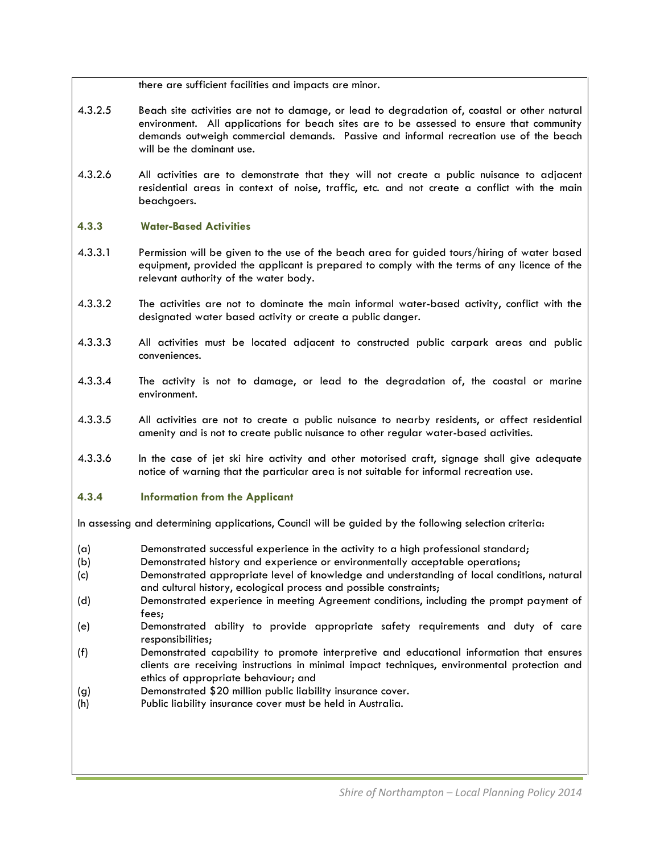there are sufficient facilities and impacts are minor.

- 4.3.2.5 Beach site activities are not to damage, or lead to degradation of, coastal or other natural environment. All applications for beach sites are to be assessed to ensure that community demands outweigh commercial demands. Passive and informal recreation use of the beach will be the dominant use.
- 4.3.2.6 All activities are to demonstrate that they will not create a public nuisance to adjacent residential areas in context of noise, traffic, etc. and not create a conflict with the main beachgoers.

#### **4.3.3 Water-Based Activities**

- 4.3.3.1 Permission will be given to the use of the beach area for guided tours/hiring of water based equipment, provided the applicant is prepared to comply with the terms of any licence of the relevant authority of the water body.
- 4.3.3.2 The activities are not to dominate the main informal water-based activity, conflict with the designated water based activity or create a public danger.
- 4.3.3.3 All activities must be located adjacent to constructed public carpark areas and public conveniences.
- 4.3.3.4 The activity is not to damage, or lead to the degradation of, the coastal or marine environment.
- 4.3.3.5 All activities are not to create a public nuisance to nearby residents, or affect residential amenity and is not to create public nuisance to other regular water-based activities.
- 4.3.3.6 In the case of jet ski hire activity and other motorised craft, signage shall give adequate notice of warning that the particular area is not suitable for informal recreation use.

#### **4.3.4 Information from the Applicant**

In assessing and determining applications, Council will be guided by the following selection criteria:

- (a) Demonstrated successful experience in the activity to a high professional standard;
- (b) Demonstrated history and experience or environmentally acceptable operations;
- (c) Demonstrated appropriate level of knowledge and understanding of local conditions, natural and cultural history, ecological process and possible constraints;
- (d) Demonstrated experience in meeting Agreement conditions, including the prompt payment of fees;
- (e) Demonstrated ability to provide appropriate safety requirements and duty of care responsibilities;
- (f) Demonstrated capability to promote interpretive and educational information that ensures clients are receiving instructions in minimal impact techniques, environmental protection and ethics of appropriate behaviour; and
- (g) Demonstrated \$20 million public liability insurance cover.
- (h) Public liability insurance cover must be held in Australia.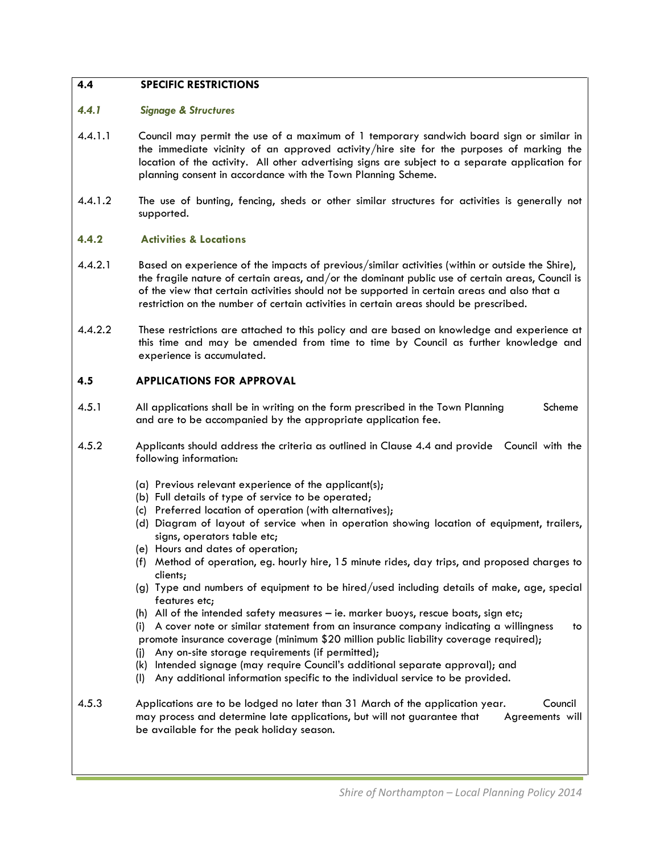### **4.4 SPECIFIC RESTRICTIONS**

#### *4.4.1 Signage & Structures*

- 4.4.1.1 Council may permit the use of a maximum of 1 temporary sandwich board sign or similar in the immediate vicinity of an approved activity/hire site for the purposes of marking the location of the activity. All other advertising signs are subject to a separate application for planning consent in accordance with the Town Planning Scheme.
- 4.4.1.2 The use of bunting, fencing, sheds or other similar structures for activities is generally not supported.

#### **4.4.2 Activities & Locations**

- 4.4.2.1 Based on experience of the impacts of previous/similar activities (within or outside the Shire), the fragile nature of certain areas, and/or the dominant public use of certain areas, Council is of the view that certain activities should not be supported in certain areas and also that a restriction on the number of certain activities in certain areas should be prescribed.
- 4.4.2.2 These restrictions are attached to this policy and are based on knowledge and experience at this time and may be amended from time to time by Council as further knowledge and experience is accumulated.

#### **4.5 APPLICATIONS FOR APPROVAL**

- 4.5.1 All applications shall be in writing on the form prescribed in the Town Planning Scheme and are to be accompanied by the appropriate application fee.
- 4.5.2 Applicants should address the criteria as outlined in Clause 4.4 and provide Council with the following information:
	- (a) Previous relevant experience of the applicant(s);
	- (b) Full details of type of service to be operated;
	- (c) Preferred location of operation (with alternatives);
	- (d) Diagram of layout of service when in operation showing location of equipment, trailers, signs, operators table etc;
	- (e) Hours and dates of operation;
	- (f) Method of operation, eg. hourly hire, 15 minute rides, day trips, and proposed charges to clients;
	- (g) Type and numbers of equipment to be hired/used including details of make, age, special features etc;
	- (h) All of the intended safety measures ie. marker buoys, rescue boats, sign etc;
	- (i) A cover note or similar statement from an insurance company indicating a willingness to

promote insurance coverage (minimum \$20 million public liability coverage required);

- (j) Any on-site storage requirements (if permitted);
- (k) Intended signage (may require Council's additional separate approval); and
- (l) Any additional information specific to the individual service to be provided.
- 4.5.3 Applications are to be lodged no later than 31 March of the application year. Council may process and determine late applications, but will not guarantee that Agreements will be available for the peak holiday season.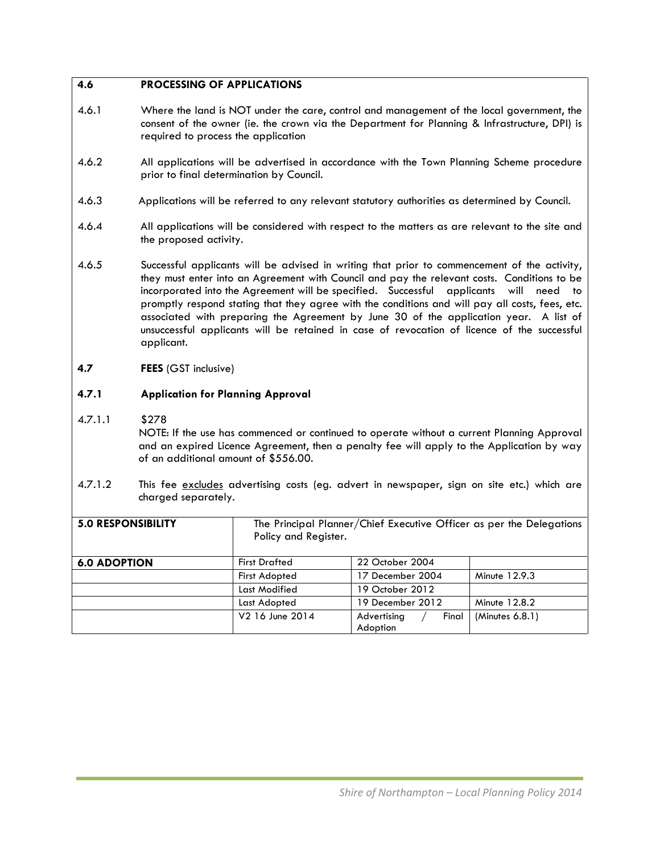## **4.6 PROCESSING OF APPLICATIONS**

- 4.6.1 Where the land is NOT under the care, control and management of the local government, the consent of the owner (ie. the crown via the Department for Planning & Infrastructure, DPI) is required to process the application
- 4.6.2 All applications will be advertised in accordance with the Town Planning Scheme procedure prior to final determination by Council.
- 4.6.3 Applications will be referred to any relevant statutory authorities as determined by Council.
- 4.6.4 All applications will be considered with respect to the matters as are relevant to the site and the proposed activity.
- 4.6.5 Successful applicants will be advised in writing that prior to commencement of the activity, they must enter into an Agreement with Council and pay the relevant costs. Conditions to be incorporated into the Agreement will be specified. Successful applicants will need to promptly respond stating that they agree with the conditions and will pay all costs, fees, etc. associated with preparing the Agreement by June 30 of the application year. A list of unsuccessful applicants will be retained in case of revocation of licence of the successful applicant.

#### **4.7 FEES** (GST inclusive)

### **4.7.1 Application for Planning Approval**

#### 4.7.1.1 \$278

NOTE: If the use has commenced or continued to operate without a current Planning Approval and an expired Licence Agreement, then a penalty fee will apply to the Application by way of an additional amount of \$556.00.

4.7.1.2 This fee excludes advertising costs (eg. advert in newspaper, sign on site etc.) which are charged separately.

| <b>5.0 RESPONSIBILITY</b> | The Principal Planner/Chief Executive Officer as per the Delegations<br>Policy and Register. |                      |                 |
|---------------------------|----------------------------------------------------------------------------------------------|----------------------|-----------------|
| <b>6.0 ADOPTION</b>       | <b>First Drafted</b>                                                                         | 22 October 2004      |                 |
|                           | <b>First Adopted</b>                                                                         | 17 December 2004     | Minute 12.9.3   |
|                           | Last Modified                                                                                | 19 October 2012      |                 |
|                           | Last Adopted                                                                                 | 19 December 2012     | Minute 12.8.2   |
|                           | V2 16 June 2014                                                                              | Advertising<br>Final | (Minutes 6.8.1) |
|                           |                                                                                              | Adoption             |                 |